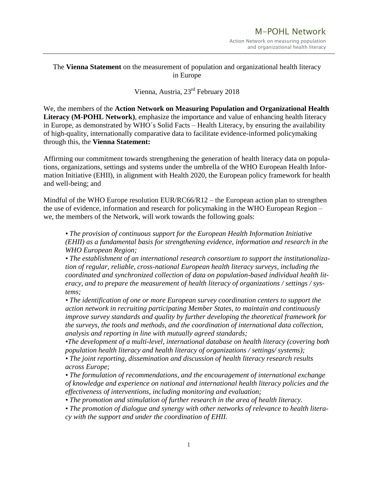## The **Vienna Statement** on the measurement of population and organizational health literacy in Europe

## Vienna, Austria, 23rd February 2018

We, the members of the **Action Network on Measuring Population and Organizational Health Literacy (M-POHL Network)**, emphasize the importance and value of enhancing health literacy in Europe, as demonstrated by WHO´s Solid Facts – Health Literacy, by ensuring the availability of high-quality, internationally comparative data to facilitate evidence-informed policymaking through this, the **Vienna Statement:**

Affirming our commitment towards strengthening the generation of health literacy data on populations, organizations, settings and systems under the umbrella of the WHO European Health Information Initiative (EHII), in alignment with Health 2020, the European policy framework for health and well-being; and

Mindful of the WHO Europe resolution EUR/RC66/R12 – the European action plan to strengthen the use of evidence, information and research for policymaking in the WHO European Region – we, the members of the Network, will work towards the following goals:

*• The provision of continuous support for the European Health Information Initiative (EHII) as a fundamental basis for strengthening evidence, information and research in the WHO European Region;*

*• The establishment of an international research consortium to support the institutionalization of regular, reliable, cross-national European health literacy surveys, including the coordinated and synchronized collection of data on population-based individual health literacy, and to prepare the measurement of health literacy of organizations / settings / systems;*

*• The identification of one or more European survey coordination centers to support the action network in recruiting participating Member States, to maintain and continuously improve survey standards and quality by further developing the theoretical framework for the surveys, the tools and methods, and the coordination of international data collection, analysis and reporting in line with mutually agreed standards;*

*•The development of a multi-level, international database on health literacy (covering both population health literacy and health literacy of organizations / settings/ systems);*

*• The joint reporting, dissemination and discussion of health literacy research results across Europe;*

*• The formulation of recommendations, and the encouragement of international exchange of knowledge and experience on national and international health literacy policies and the effectiveness of interventions, including monitoring and evaluation;*

*• The promotion and stimulation of further research in the area of health literacy.*

• The promotion of dialogue and synergy with other networks of relevance to health litera*cy with the support and under the coordination of EHII.*